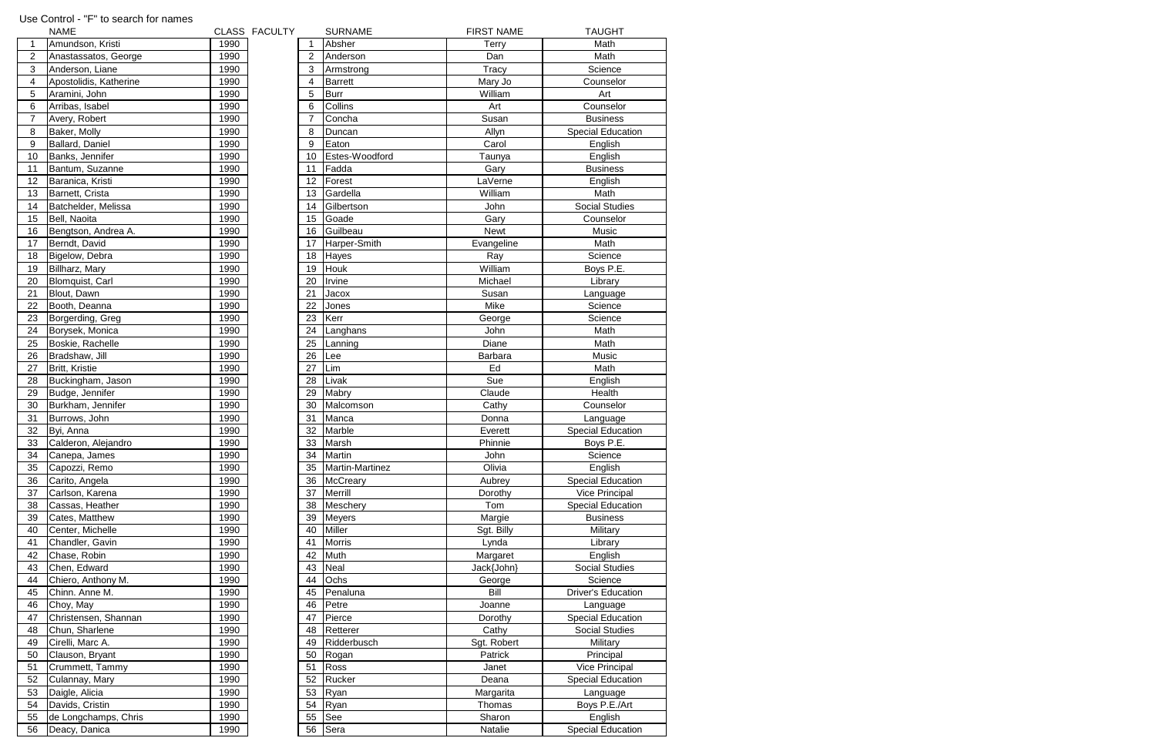|                | <b>NAME</b>            |      | CLASS FACULTY |    | <b>SURNAME</b>  | <b>FIRST NAME</b> | <b>TAUGHT</b>             |
|----------------|------------------------|------|---------------|----|-----------------|-------------------|---------------------------|
| 1              | Amundson, Kristi       | 1990 |               |    | Absher          | <b>Terry</b>      | Math                      |
| 2              | Anastassatos, George   | 1990 |               | 2  | Anderson        | Dan               | Math                      |
| 3              | Anderson, Liane        | 1990 |               | 3  | Armstrong       | Tracy             | Science                   |
| 4              | Apostolidis, Katherine | 1990 |               | 4  | <b>Barrett</b>  | Mary Jo           | Counselor                 |
| 5              | Aramini, John          | 1990 |               | 5  | <b>Burr</b>     | William           | Art                       |
| 6              | Arribas, Isabel        | 1990 |               | 6  | Collins         | Art               | Counselor                 |
| $\overline{7}$ | Avery, Robert          | 1990 |               | 7  | Concha          | Susan             | <b>Business</b>           |
| 8              | Baker, Molly           | 1990 |               | 8  | Duncan          | Allyn             | <b>Special Education</b>  |
| 9              | Ballard, Daniel        | 1990 |               | 9  | Eaton           | Carol             | English                   |
| 10             | Banks, Jennifer        | 1990 |               | 10 | Estes-Woodford  | Taunya            | English                   |
| 11             | Bantum, Suzanne        | 1990 |               | 11 | Fadda           | Gary              | <b>Business</b>           |
| 12             | Baranica, Kristi       | 1990 |               | 12 | Forest          | LaVerne           | English                   |
| 13             | Barnett, Crista        | 1990 |               | 13 | Gardella        | William           | Math                      |
| 14             | Batchelder, Melissa    | 1990 |               | 14 | Gilbertson      | John              | <b>Social Studies</b>     |
| 15             | Bell, Naoita           | 1990 |               | 15 | Goade           | Gary              | Counselor                 |
| 16             | Bengtson, Andrea A.    | 1990 |               | 16 | Guilbeau        | <b>Newt</b>       | Music                     |
| 17             | Berndt, David          | 1990 |               | 17 | Harper-Smith    | Evangeline        | Math                      |
| 18             | Bigelow, Debra         | 1990 |               | 18 | Hayes           | Ray               | Science                   |
| 19             | Billharz, Mary         | 1990 |               | 19 | Houk            | William           | Boys P.E.                 |
| 20             | <b>Blomquist, Carl</b> | 1990 |               | 20 | Irvine          | Michael           | Library                   |
| 21             | Blout, Dawn            | 1990 |               | 21 | Jacox           | Susan             | Language                  |
| 22             | Booth, Deanna          | 1990 |               | 22 | Jones           | Mike              | Science                   |
| 23             | Borgerding, Greg       | 1990 |               | 23 | Kerr            | George            | Science                   |
| 24             | Borysek, Monica        | 1990 |               | 24 | Langhans        | John              | Math                      |
| 25             | Boskie, Rachelle       | 1990 |               | 25 | Lanning         | Diane             | Math                      |
| 26             | Bradshaw, Jill         | 1990 |               | 26 | Lee             | Barbara           | Music                     |
| 27             | Britt, Kristie         | 1990 |               | 27 | Lim             | Ed                | Math                      |
| 28             | Buckingham, Jason      | 1990 |               | 28 | Livak           | Sue               | English                   |
| 29             | Budge, Jennifer        | 1990 |               | 29 | Mabry           | Claude            | Health                    |
| 30             | Burkham, Jennifer      | 1990 |               | 30 | Malcomson       | Cathy             | Counselor                 |
| 31             | Burrows, John          | 1990 |               | 31 | Manca           | Donna             | Language                  |
| 32             | Byi, Anna              | 1990 |               | 32 | Marble          | Everett           | <b>Special Education</b>  |
| 33             | Calderon, Alejandro    | 1990 |               | 33 | Marsh           | Phinnie           | Boys P.E.                 |
| 34             | Canepa, James          | 1990 |               | 34 | <b>Martin</b>   | John              | Science                   |
| 35             | Capozzi, Remo          | 1990 |               | 35 | Martin-Martinez | Olivia            | English                   |
| 36             | Carito, Angela         | 1990 |               | 36 | <b>McCreary</b> | Aubrey            | <b>Special Educatio</b>   |
| 37             | Carlson, Karena        | 1990 |               | 37 | Merrill         | Dorothy           | <b>Vice Principal</b>     |
| 38             | Cassas, Heather        | 1990 |               | 38 | Meschery        | Tom               | Special Educatio          |
| 39             | Cates, Matthew         | 1990 |               | 39 | <b>Meyers</b>   | Margie            | <b>Business</b>           |
| 40             | Center, Michelle       | 1990 |               | 40 | <b>Miller</b>   | Sgt. Billy        | Military                  |
| 41             | Chandler, Gavin        | 1990 |               | 41 | <b>Morris</b>   | Lynda             | Library                   |
| 42             | Chase, Robin           | 1990 |               | 42 | Muth            | Margaret          | English                   |
| 43             | Chen, Edward           | 1990 |               | 43 | Neal            | Jack{John}        | Social Studies            |
| 44             | Chiero, Anthony M.     | 1990 |               | 44 | Ochs            | George            | Science                   |
| 45             | Chinn. Anne M.         | 1990 |               | 45 | Penaluna        | Bill              | <b>Driver's Education</b> |
| 46             | Choy, May              | 1990 |               | 46 | Petre           | Joanne            | Language                  |
| 47             | Christensen, Shannan   | 1990 |               | 47 | Pierce          | Dorothy           | <b>Special Education</b>  |
| 48             | Chun, Sharlene         | 1990 |               | 48 | Retterer        | Cathy             | Social Studies            |
| 49             | Cirelli, Marc A.       | 1990 |               | 49 | Ridderbusch     | Sgt. Robert       | Military                  |
| 50             | Clauson, Bryant        | 1990 |               | 50 | Rogan           | Patrick           | Principal                 |
| 51             | Crummett, Tammy        | 1990 |               | 51 | <b>Ross</b>     | Janet             | <b>Vice Principal</b>     |
| 52             | Culannay, Mary         | 1990 |               | 52 | Rucker          | Deana             | <b>Special Education</b>  |
| 53             | Daigle, Alicia         | 1990 |               | 53 | Ryan            | Margarita         | Language                  |
| 54             | Davids, Cristin        | 1990 |               | 54 | Ryan            | Thomas            | Boys P.E./Art             |
| 55             | de Longchamps, Chris   | 1990 |               | 55 | See             | Sharon            | English                   |
| 56             | Deacy, Danica          | 1990 |               | 56 | Sera            | Natalie           | <b>Special Educatio</b>   |

Special Education

Special Education<br>Boys P.E.

Special Education Vice Principal Special Education

Driver's Education

Special Education Social Studies

Vice Principal Special Education

Special Education

## Use Control - "F" to search for names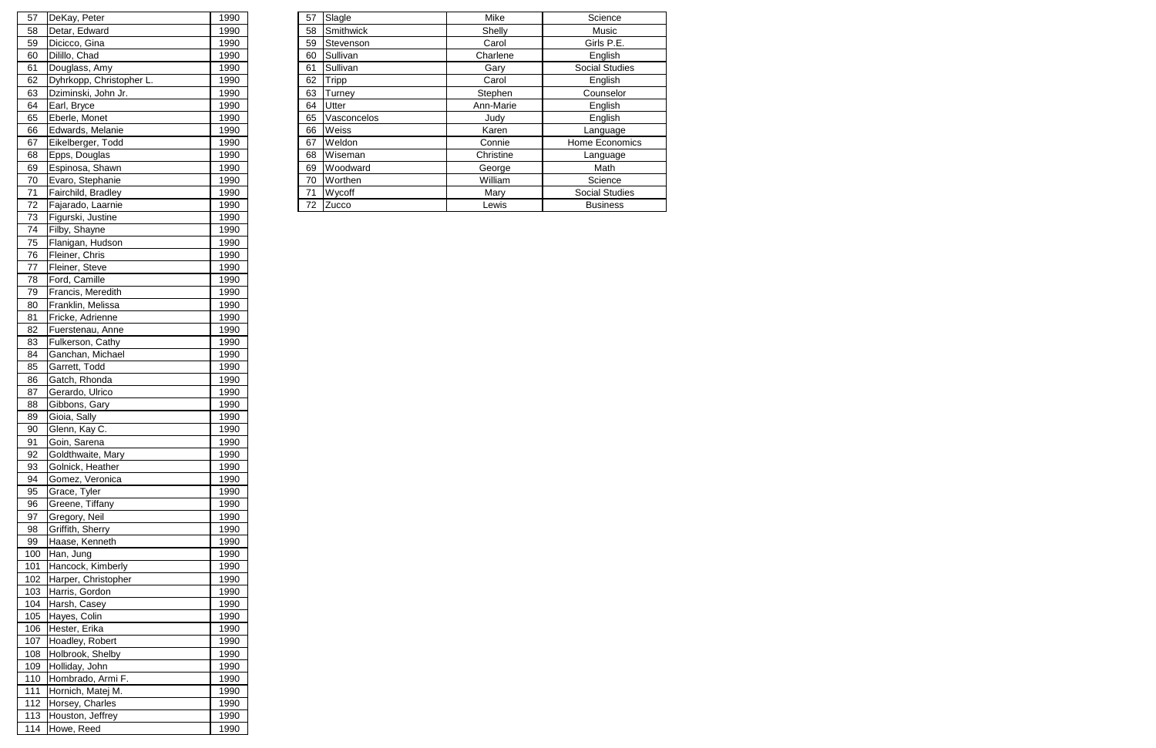|    | 57 DeKay, Peter          | 1990 | 57 | Slagle       | Mike      | Science               |
|----|--------------------------|------|----|--------------|-----------|-----------------------|
| 58 | Detar, Edward            | 1990 | 58 | Smithwick    | Shelly    | Music                 |
| 59 | Dicicco, Gina            | 1990 | 59 | Stevenson    | Carol     | Girls P.E.            |
| 60 | Dilillo, Chad            | 1990 | 60 | Sullivan     | Charlene  | English               |
| 61 | Douglass, Amy            | 1990 | 61 | Sullivan     | Gary      | <b>Social Studies</b> |
| 62 | Dyhrkopp, Christopher L. | 1990 | 62 | Tripp        | Carol     | English               |
| 63 | Dziminski, John Jr.      | 1990 | 63 | Turney       | Stephen   | Counselor             |
| 64 | Earl, Bryce              | 1990 | 64 | <b>Utter</b> | Ann-Marie | English               |
| 65 | Eberle, Monet            | 1990 | 65 | Vasconcelos  | Judy      | English               |
| 66 | Edwards, Melanie         | 1990 | 66 | Weiss        | Karen     | Language              |
| 67 | Eikelberger, Todd        | 1990 | 67 | Weldon       | Connie    | Home Economics        |
| 68 | Epps, Douglas            | 1990 | 68 | Wiseman      | Christine | Language              |
| 69 | Espinosa, Shawn          | 1990 | 69 | Woodward     | George    | Math                  |
| 70 | Evaro, Stephanie         | 1990 | 70 | Worthen      | William   | Science               |
| 71 | Fairchild, Bradley       | 1990 | 71 | Wycoff       | Mary      | <b>Social Studies</b> |
| 72 | Fajarado, Laarnie        | 1990 |    | 72 Zucco     | Lewis     | <b>Business</b>       |
|    | 73 Fiaurski, Justine     | 1990 |    |              |           |                       |

| 57  | DeKay, Peter             | 1990 |
|-----|--------------------------|------|
| 58  | Detar, Edward            | 1990 |
| 59  | Dicicco, Gina            | 1990 |
| 60  | Dilillo, Chad            | 1990 |
| 61  | Douglass, Amy            | 1990 |
| 62  | Dyhrkopp, Christopher L. | 1990 |
| 63  | Dziminski, John Jr.      | 1990 |
| 64  | Earl, Bryce              | 1990 |
| 65  | Eberle, Monet            | 1990 |
| 66  | Edwards, Melanie         | 1990 |
| 67  | Eikelberger, Todd        | 1990 |
| 68  | Epps, Douglas            | 1990 |
| 69  | Espinosa, Shawn          | 1990 |
| 70  | Evaro, Stephanie         | 1990 |
|     |                          |      |
| 71  | Fairchild, Bradley       | 1990 |
| 72  | Fajarado, Laarnie        | 1990 |
| 73  | Figurski, Justine        | 1990 |
| 74  | Filby, Shayne            | 1990 |
| 75  | Flanigan, Hudson         | 1990 |
| 76  | Fleiner, Chris           | 1990 |
| 77  | Fleiner, Steve           | 1990 |
| 78  | Ford, Camille            | 1990 |
| 79  | Francis, Meredith        | 1990 |
| 80  | Franklin, Melissa        | 1990 |
| 81  | Fricke, Adrienne         | 1990 |
| 82  | Fuerstenau, Anne         | 1990 |
| 83  | Fulkerson, Cathy         | 1990 |
| 84  | Ganchan, Michael         | 1990 |
| 85  | Garrett, Todd            | 1990 |
|     |                          |      |
| 86  | Gatch, Rhonda            | 1990 |
| 87  | Gerardo, Ulrico          | 1990 |
| 88  | Gibbons, Gary            | 1990 |
| 89  | Gioia, Sally             | 1990 |
| 90  | Glenn, Kay C.            | 1990 |
| 91  | Goin, Sarena             | 1990 |
| 92  | Goldthwaite, Mary        | 1990 |
| 93  | Golnick, Heather         | 1990 |
| 94  | Gomez, Veronica          | 1990 |
| 95  | Grace, Tyler             | 1990 |
| 96  | Greene, Tiffany          | 1990 |
| 97  | Gregory, Neil            | 1990 |
| 98  | Griffith, Sherry         | 1990 |
| 99  | Haase, Kenneth           | 1990 |
| 100 | Han, Jung                | 1990 |
| 101 | Hancock, Kimberly        | 1990 |
| 102 | Harper, Christopher      | 1990 |
| 103 |                          |      |
|     | Harris, Gordon           | 1990 |
| 104 | Harsh, Casey             | 1990 |
| 105 | Hayes, Colin             | 1990 |
| 106 | Hester, Erika            | 1990 |
| 107 | Hoadley, Robert          | 1990 |
| 108 | Holbrook, Shelby         | 1990 |
| 109 | Holliday, John           | 1990 |
| 110 | Hombrado, Armi F.        | 1990 |
| 111 | Hornich, Matej M.        | 1990 |
| 112 | Horsey, Charles          | 1990 |
| 113 | Houston, Jeffrey         | 1990 |
| 114 | Howe, Reed               | 1990 |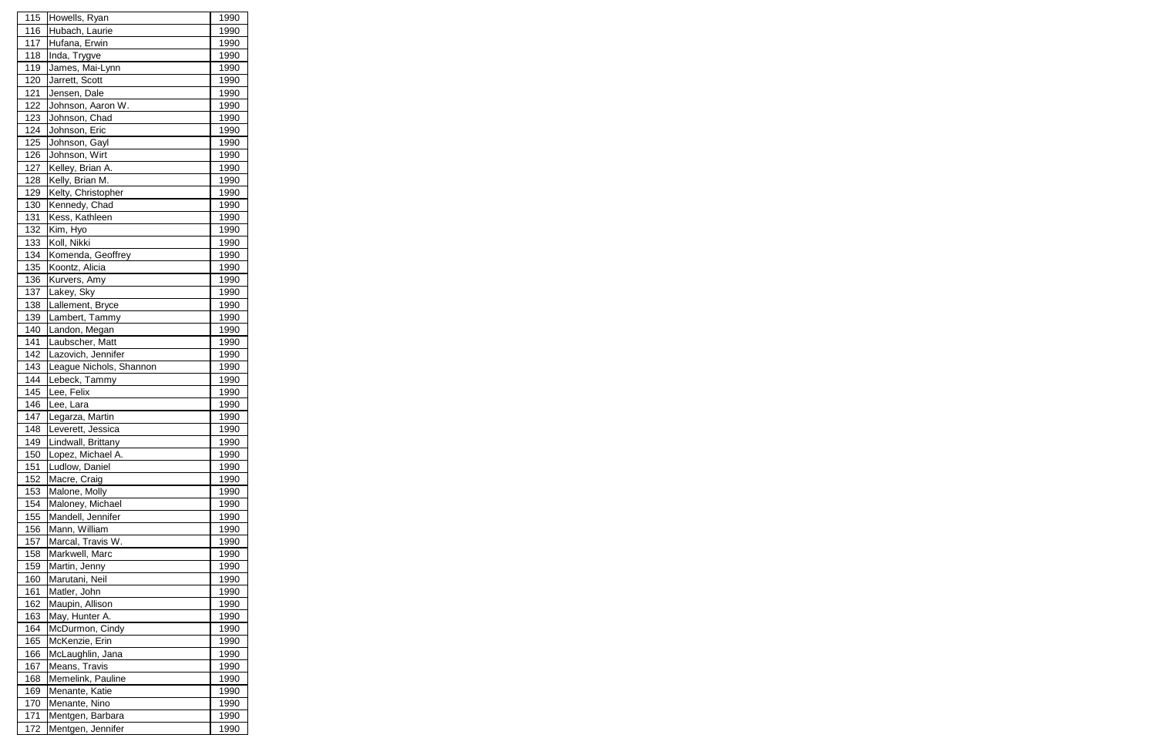| 115        | Howells, Ryan           | 1990        |
|------------|-------------------------|-------------|
| 116        | Hubach, Laurie          | 1990        |
| 117        | Hufana, Erwin           | 1990        |
| 118        | Inda, Trygve            | 1990        |
| 119        | James, Mai-Lynn         | 1990        |
| 120        | Jarrett, Scott          | 1990        |
| 121        | Jensen, Dale            | 1990        |
| 122        | Johnson, Aaron W.       | 1990        |
| 123        | Johnson, Chad           | 1990        |
| 124        | Johnson, Eric           | 1990        |
| 125        | Johnson, Gayl           | 1990        |
| 126        | Johnson, Wirt           | 1990        |
| 127        | Kelley, Brian A.        | 1990        |
| 128        | Kelly, Brian M.         | 1990        |
| 129        | Kelty, Christopher      | 1990        |
| 130        | Kennedy, Chad           | 1990        |
| 131        | Kess, Kathleen          | 1990        |
| 132        | Kim, Hyo                | 1990        |
| 133        | Koll, Nikki             | 1990        |
| 134        | Komenda, Geoffrey       | 1990        |
| 135        | Koontz, Alicia          | 1990        |
| 136        | Kurvers, Amy            | 1990        |
| 137        | Lakey, Sky              | 1990        |
| 138        | Lallement, Bryce        | 1990        |
| 139        | Lambert, Tammy          | 1990        |
| 140        | Landon, Megan           | 1990        |
| 141        | Laubscher, Matt         | 1990        |
| 142        | Lazovich, Jennifer      | 1990        |
| 143        | League Nichols, Shannon | 1990        |
| 144        | Lebeck, Tammy           | 1990        |
| 145        | Lee, Felix              | 1990        |
| 146        | Lee, Lara               | 1990        |
| 147        | Legarza, Martin         | 1990        |
| <u>148</u> | Leverett, Jessica       | <u>1990</u> |
| 149        | Lindwall, Brittany      | 1990        |
| 150        | Lopez, Michael A.       | 1990        |
| 151        | Ludlow, Daniel          | 1990        |
| 152        | Macre, Craig            | 1990        |
| 153        | Malone, Molly           | 1990        |
| 154        | Maloney, Michael        | 1990        |
| 155        | Mandell, Jennifer       | 1990        |
| 156        | Mann, William           | 1990        |
| 157        | Marcal, Travis W.       | 1990        |
| 158        | Markwell, Marc          | 1990        |
| 159        | Martin, Jenny           | 1990        |
| 160        | Marutani, Neil          | 1990        |
| 161        | Matler, John            | 1990        |
| 162        | Maupin, Allison         | 1990        |
| 163        | May, Hunter A.          | 1990        |
| 164        | McDurmon, Cindy         | 1990        |
| 165        | McKenzie, Erin          | 1990        |
| 166        | McLaughlin, Jana        | 1990        |
| 167        | Means, Travis           | 1990        |
| 168        | Memelink, Pauline       | 1990        |
| 169        | Menante, Katie          | 1990        |
| 170        | Menante, Nino           | 1990        |
| 171        | Mentgen, Barbara        | 1990        |
| 172        | Mentgen, Jennifer       | 1990        |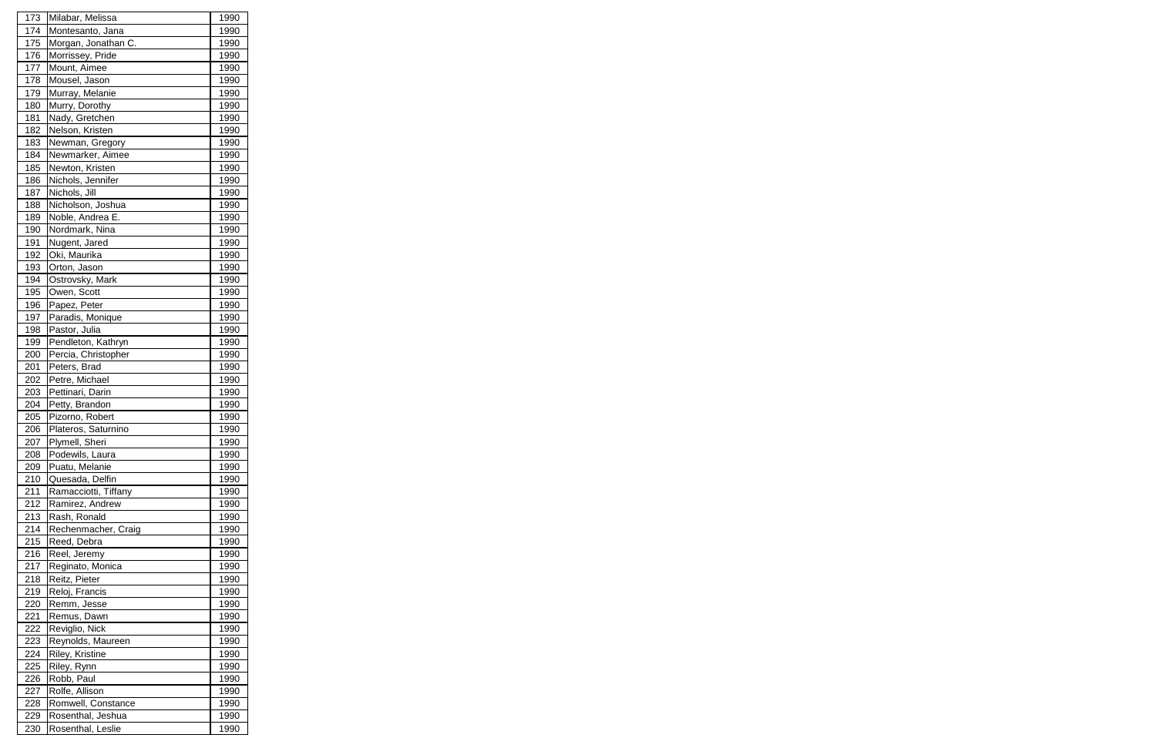| 173        | Milabar, Melissa     | 1990        |
|------------|----------------------|-------------|
| 174        | Montesanto, Jana     | 1990        |
| 175        | Morgan, Jonathan C.  | 1990        |
| 176        | Morrissey, Pride     | 1990        |
| 177        | Mount, Aimee         | 1990        |
| 178        | Mousel, Jason        | 1990        |
| 179        | Murray, Melanie      | 1990        |
| 180        | Murry, Dorothy       | 1990        |
| 181        | Nady, Gretchen       | 1990        |
| 182        | Nelson, Kristen      | 1990        |
| 183        | Newman, Gregory      | 1990        |
| 184        | Newmarker, Aimee     | 1990        |
| 185        | Newton, Kristen      | 1990        |
| 186        | Nichols, Jennifer    | 1990        |
| 187        | Nichols, Jill        | 1990        |
| 188        | Nicholson, Joshua    | 1990        |
| 189        | Noble, Andrea E.     | 1990        |
| 190        | Nordmark, Nina       | 1990        |
| 191        | Nugent, Jared        | 1990        |
| 192        | Oki, Maurika         | 1990        |
| 193        | Orton, Jason         | 1990        |
| 194        | Ostrovsky, Mark      | 1990        |
| 195        | Owen, Scott          | 1990        |
| 196        | Papez, Peter         | 1990        |
| 197        | Paradis, Monique     | 1990        |
| 198        | Pastor, Julia        | 1990        |
| 199        | Pendleton, Kathryn   | 1990        |
| 200        | Percia, Christopher  | 1990        |
| 201        | Peters, Brad         | 1990        |
| 202        | Petre, Michael       | 1990        |
| 203        | Pettinari, Darin     | 1990        |
| 204        | Petty, Brandon       | 1990        |
| 205        | Pizorno, Robert      | 1990        |
| <b>206</b> | Plateros, Saturnino  | <u>1990</u> |
| 207        | Plymell, Sheri       | 1990        |
| 208        | Podewils, Laura      | 1990        |
| 209        | Puatu, Melanie       | 1990        |
| 210        | Quesada, Delfin      | 1990        |
| 211        | Ramacciotti, Tiffany | 1990        |
| 212        | Ramirez, Andrew      | 1990        |
| 213        | Rash, Ronald         | 1990        |
| 214        | Rechenmacher, Craig  | 1990        |
| 215        | Reed, Debra          | 1990        |
| 216        | Reel, Jeremy         | 1990        |
| 217        | Reginato, Monica     | 1990        |
| 218        | Reitz, Pieter        | 1990        |
| 219        | Reloj, Francis       | 1990        |
| 220        | Remm, Jesse          | 1990        |
| 221        | Remus, Dawn          | 1990        |
| 222        | Reviglio, Nick       | 1990        |
| 223        | Reynolds, Maureen    | 1990        |
| 224        | Riley, Kristine      | 1990        |
| 225        | Riley, Rynn          | 1990        |
| 226        | Robb, Paul           | 1990        |
| 227        | Rolfe, Allison       | 1990        |
| 228        | Romwell, Constance   | 1990        |
| 229        | Rosenthal, Jeshua    | 1990        |
| 230        | Rosenthal, Leslie    | 1990        |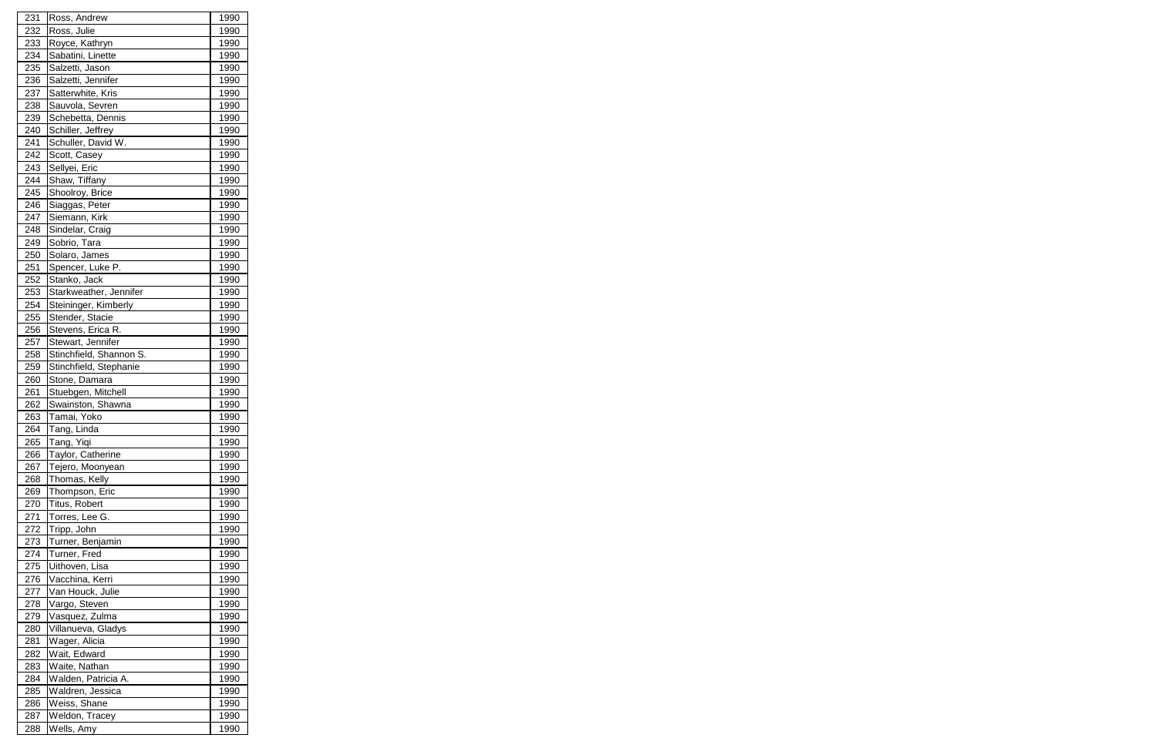| 231        | Ross, Andrew                    | 1990         |
|------------|---------------------------------|--------------|
| 232        | Ross, Julie                     | 1990         |
| 233        | Royce, Kathryn                  | 1990         |
| 234        | Sabatini, Linette               | 1990         |
| 235        | Salzetti, Jason                 | 1990         |
| 236        | Salzetti, Jennifer              | 1990         |
| 237        | Satterwhite, Kris               | 1990         |
| 238        | Sauvola, Sevren                 | 1990         |
| 239        | Schebetta, Dennis               | 1990         |
| 240        | Schiller, Jeffrey               | 1990         |
| 241        | Schuller, David W.              | 1990         |
| 242        | Scott, Casey                    | 1990         |
| 243        | Sellyei, Eric                   | 1990         |
| 244        | Shaw, Tiffany                   | 1990         |
| 245        | Shoolroy, Brice                 | 1990         |
| 246        | Siaggas, Peter                  | 1990         |
| 247        | Siemann, Kirk                   | 1990         |
| 248        | Sindelar, Craig                 | 1990         |
| 249        | Sobrio, Tara                    | 1990         |
| 250        | Solaro, James                   | 1990         |
| 251        | Spencer, Luke P.                | 1990         |
| 252        | Stanko, Jack                    | 1990         |
| 253        | Starkweather, Jennifer          | 1990         |
| 254        | Steininger, Kimberly            | 1990         |
| 255        | Stender, Stacie                 | 1990         |
| 256        | Stevens, Erica R.               | 1990         |
| 257        | Stewart, Jennifer               | 1990         |
| 258        | Stinchfield, Shannon S.         | 1990         |
| 259        | Stinchfield, Stephanie          | 1990         |
| 260        | Stone, Damara                   | 1990         |
| 261        | Stuebgen, Mitchell              | 1990         |
| 262        | Swainston, Shawna               | 1990         |
| 263        |                                 | 1990         |
| 264        | Tamai, Yoko                     |              |
| 265        | Tang, Linda                     | 1990<br>1990 |
| 266        | Tang, Yiqi<br>Taylor, Catherine | 1990         |
| 267        | Tejero, Moonyean                | 1990         |
| 268        | Thomas, Kelly                   | 1990         |
|            | Thompson, Eric                  | 1990         |
| 269        | Titus, Robert                   | 1990         |
| 270<br>271 | Torres, Lee G.                  | 1990         |
|            | Tripp, John                     |              |
| 272        |                                 | 1990<br>1990 |
| 273        | Turner, Benjamin                | 1990         |
| 274        | Turner, Fred                    |              |
| 275        | Uithoven, Lisa                  | 1990         |
| 276        | Vacchina, Kerri                 | 1990         |
| 277        | Van Houck, Julie                | 1990         |
| 278        | Vargo, Steven                   | 1990         |
| 279        | Vasquez, Zulma                  | 1990         |
| 280        | Villanueva, Gladys              | 1990         |
| 281        | Wager, Alicia                   | 1990         |
| 282        | Wait, Edward                    | 1990         |
| 283        | Waite, Nathan                   | 1990         |
| 284        | Walden, Patricia A.             | 1990         |
| 285        | Waldren, Jessica                | 1990         |
| 286        | Weiss, Shane                    | 1990         |
| 287        | Weldon, Tracey                  | 1990         |
| 288        | Wells, Amy                      | 1990         |